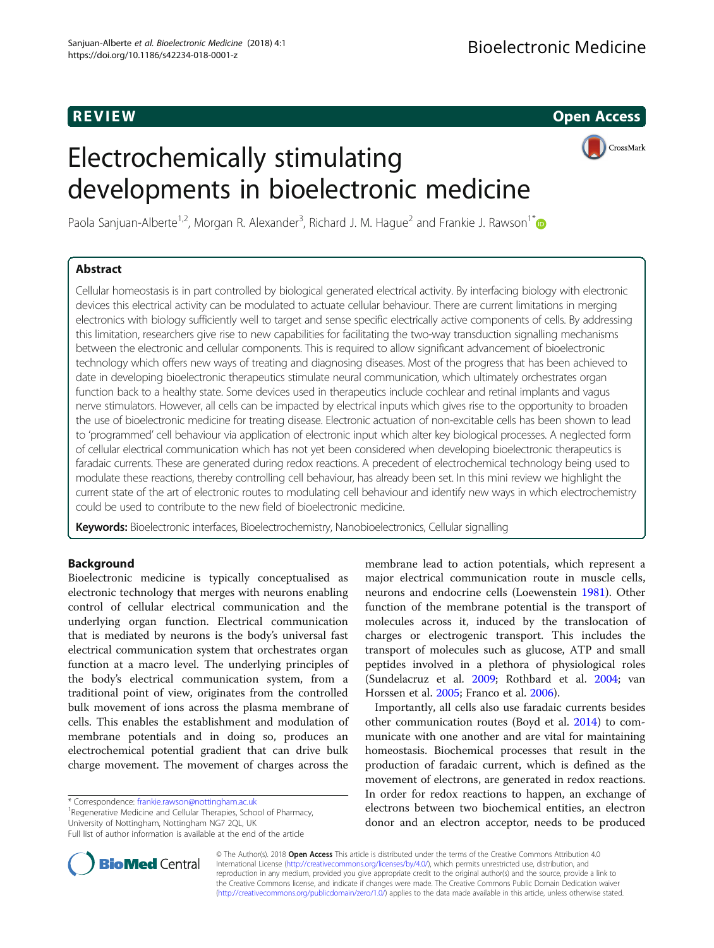R EVI EW Open Access

CrossMark

# Electrochemically stimulating developments in bioelectronic medicine

Paola Sanjuan-Alberte<sup>1,2</sup>, Morgan R. Alexander<sup>3</sup>, Richard J. M. Hague<sup>2</sup> and Frankie J. Rawson<sup>1\*</sup>

# Abstract

Cellular homeostasis is in part controlled by biological generated electrical activity. By interfacing biology with electronic devices this electrical activity can be modulated to actuate cellular behaviour. There are current limitations in merging electronics with biology sufficiently well to target and sense specific electrically active components of cells. By addressing this limitation, researchers give rise to new capabilities for facilitating the two-way transduction signalling mechanisms between the electronic and cellular components. This is required to allow significant advancement of bioelectronic technology which offers new ways of treating and diagnosing diseases. Most of the progress that has been achieved to date in developing bioelectronic therapeutics stimulate neural communication, which ultimately orchestrates organ function back to a healthy state. Some devices used in therapeutics include cochlear and retinal implants and vagus nerve stimulators. However, all cells can be impacted by electrical inputs which gives rise to the opportunity to broaden the use of bioelectronic medicine for treating disease. Electronic actuation of non-excitable cells has been shown to lead to 'programmed' cell behaviour via application of electronic input which alter key biological processes. A neglected form of cellular electrical communication which has not yet been considered when developing bioelectronic therapeutics is faradaic currents. These are generated during redox reactions. A precedent of electrochemical technology being used to modulate these reactions, thereby controlling cell behaviour, has already been set. In this mini review we highlight the current state of the art of electronic routes to modulating cell behaviour and identify new ways in which electrochemistry could be used to contribute to the new field of bioelectronic medicine.

**Keywords:** Bioelectronic interfaces, Bioelectrochemistry, Nanobioelectronics, Cellular signalling

# Background

Bioelectronic medicine is typically conceptualised as electronic technology that merges with neurons enabling control of cellular electrical communication and the underlying organ function. Electrical communication that is mediated by neurons is the body's universal fast electrical communication system that orchestrates organ function at a macro level. The underlying principles of the body's electrical communication system, from a traditional point of view, originates from the controlled bulk movement of ions across the plasma membrane of cells. This enables the establishment and modulation of membrane potentials and in doing so, produces an electrochemical potential gradient that can drive bulk charge movement. The movement of charges across the

\* Correspondence: [frankie.rawson@nottingham.ac.uk](mailto:frankie.rawson@nottingham.ac.uk) <sup>1</sup>

<sup>1</sup> Regenerative Medicine and Cellular Therapies, School of Pharmacy, University of Nottingham, Nottingham NG7 2QL, UK



Importantly, all cells also use faradaic currents besides other communication routes (Boyd et al. [2014](#page-5-0)) to communicate with one another and are vital for maintaining homeostasis. Biochemical processes that result in the production of faradaic current, which is defined as the movement of electrons, are generated in redox reactions. In order for redox reactions to happen, an exchange of electrons between two biochemical entities, an electron donor and an electron acceptor, needs to be produced



© The Author(s). 2018 Open Access This article is distributed under the terms of the Creative Commons Attribution 4.0 International License [\(http://creativecommons.org/licenses/by/4.0/](http://creativecommons.org/licenses/by/4.0/)), which permits unrestricted use, distribution, and reproduction in any medium, provided you give appropriate credit to the original author(s) and the source, provide a link to the Creative Commons license, and indicate if changes were made. The Creative Commons Public Domain Dedication waiver [\(http://creativecommons.org/publicdomain/zero/1.0/](http://creativecommons.org/publicdomain/zero/1.0/)) applies to the data made available in this article, unless otherwise stated.

Full list of author information is available at the end of the article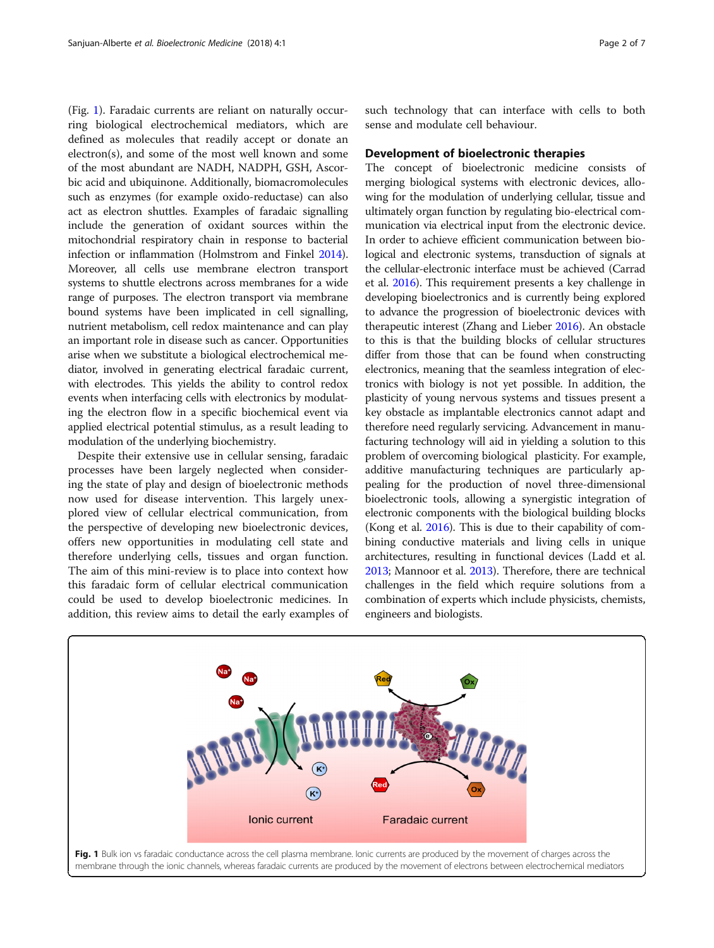(Fig. 1). Faradaic currents are reliant on naturally occurring biological electrochemical mediators, which are defined as molecules that readily accept or donate an electron(s), and some of the most well known and some of the most abundant are NADH, NADPH, GSH, Ascorbic acid and ubiquinone. Additionally, biomacromolecules such as enzymes (for example oxido-reductase) can also act as electron shuttles. Examples of faradaic signalling include the generation of oxidant sources within the mitochondrial respiratory chain in response to bacterial infection or inflammation (Holmstrom and Finkel [2014](#page-5-0)). Moreover, all cells use membrane electron transport systems to shuttle electrons across membranes for a wide range of purposes. The electron transport via membrane bound systems have been implicated in cell signalling, nutrient metabolism, cell redox maintenance and can play an important role in disease such as cancer. Opportunities arise when we substitute a biological electrochemical mediator, involved in generating electrical faradaic current, with electrodes. This yields the ability to control redox events when interfacing cells with electronics by modulating the electron flow in a specific biochemical event via applied electrical potential stimulus, as a result leading to modulation of the underlying biochemistry.

Despite their extensive use in cellular sensing, faradaic processes have been largely neglected when considering the state of play and design of bioelectronic methods now used for disease intervention. This largely unexplored view of cellular electrical communication, from the perspective of developing new bioelectronic devices, offers new opportunities in modulating cell state and therefore underlying cells, tissues and organ function. The aim of this mini-review is to place into context how this faradaic form of cellular electrical communication could be used to develop bioelectronic medicines. In addition, this review aims to detail the early examples of such technology that can interface with cells to both sense and modulate cell behaviour.

## Development of bioelectronic therapies

The concept of bioelectronic medicine consists of merging biological systems with electronic devices, allowing for the modulation of underlying cellular, tissue and ultimately organ function by regulating bio-electrical communication via electrical input from the electronic device. In order to achieve efficient communication between biological and electronic systems, transduction of signals at the cellular-electronic interface must be achieved (Carrad et al. [2016\)](#page-5-0). This requirement presents a key challenge in developing bioelectronics and is currently being explored to advance the progression of bioelectronic devices with therapeutic interest (Zhang and Lieber [2016\)](#page-6-0). An obstacle to this is that the building blocks of cellular structures differ from those that can be found when constructing electronics, meaning that the seamless integration of electronics with biology is not yet possible. In addition, the plasticity of young nervous systems and tissues present a key obstacle as implantable electronics cannot adapt and therefore need regularly servicing. Advancement in manufacturing technology will aid in yielding a solution to this problem of overcoming biological plasticity. For example, additive manufacturing techniques are particularly appealing for the production of novel three-dimensional bioelectronic tools, allowing a synergistic integration of electronic components with the biological building blocks (Kong et al. [2016\)](#page-5-0). This is due to their capability of combining conductive materials and living cells in unique architectures, resulting in functional devices (Ladd et al. [2013](#page-5-0); Mannoor et al. [2013](#page-5-0)). Therefore, there are technical challenges in the field which require solutions from a combination of experts which include physicists, chemists, engineers and biologists.

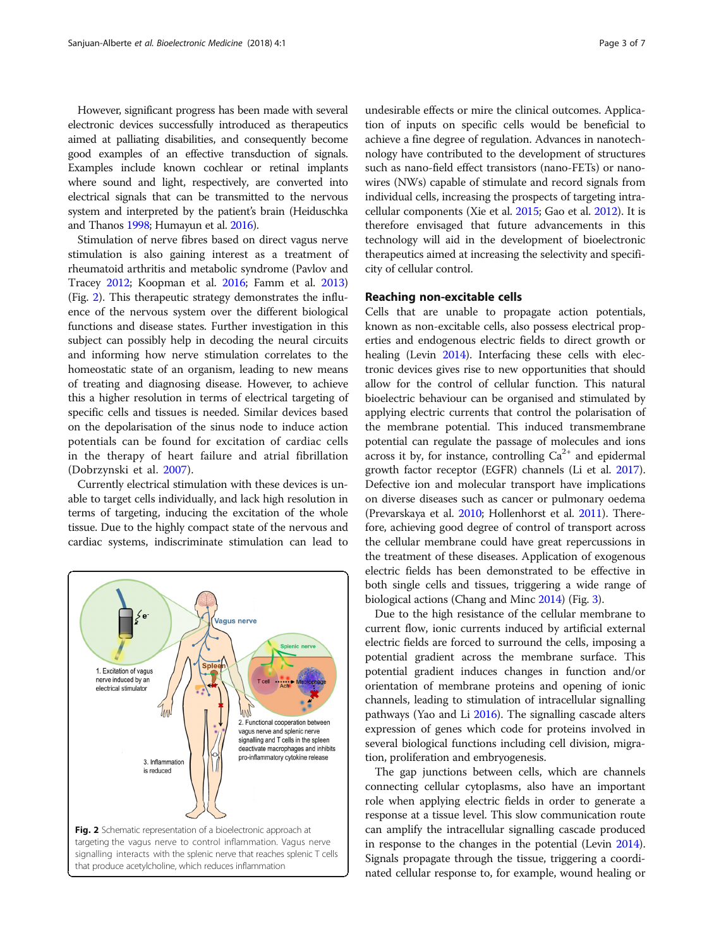However, significant progress has been made with several electronic devices successfully introduced as therapeutics aimed at palliating disabilities, and consequently become good examples of an effective transduction of signals. Examples include known cochlear or retinal implants where sound and light, respectively, are converted into electrical signals that can be transmitted to the nervous system and interpreted by the patient's brain (Heiduschka and Thanos [1998;](#page-5-0) Humayun et al. [2016](#page-5-0)).

Stimulation of nerve fibres based on direct vagus nerve stimulation is also gaining interest as a treatment of rheumatoid arthritis and metabolic syndrome (Pavlov and Tracey [2012](#page-5-0); Koopman et al. [2016;](#page-5-0) Famm et al. [2013](#page-5-0)) (Fig. 2). This therapeutic strategy demonstrates the influence of the nervous system over the different biological functions and disease states. Further investigation in this subject can possibly help in decoding the neural circuits and informing how nerve stimulation correlates to the homeostatic state of an organism, leading to new means of treating and diagnosing disease. However, to achieve this a higher resolution in terms of electrical targeting of specific cells and tissues is needed. Similar devices based on the depolarisation of the sinus node to induce action potentials can be found for excitation of cardiac cells in the therapy of heart failure and atrial fibrillation (Dobrzynski et al. [2007](#page-5-0)).

Currently electrical stimulation with these devices is unable to target cells individually, and lack high resolution in terms of targeting, inducing the excitation of the whole tissue. Due to the highly compact state of the nervous and cardiac systems, indiscriminate stimulation can lead to



undesirable effects or mire the clinical outcomes. Application of inputs on specific cells would be beneficial to achieve a fine degree of regulation. Advances in nanotechnology have contributed to the development of structures such as nano-field effect transistors (nano-FETs) or nanowires (NWs) capable of stimulate and record signals from individual cells, increasing the prospects of targeting intracellular components (Xie et al. [2015;](#page-6-0) Gao et al. [2012](#page-5-0)). It is therefore envisaged that future advancements in this technology will aid in the development of bioelectronic therapeutics aimed at increasing the selectivity and specificity of cellular control.

## Reaching non-excitable cells

Cells that are unable to propagate action potentials, known as non-excitable cells, also possess electrical properties and endogenous electric fields to direct growth or healing (Levin [2014\)](#page-5-0). Interfacing these cells with electronic devices gives rise to new opportunities that should allow for the control of cellular function. This natural bioelectric behaviour can be organised and stimulated by applying electric currents that control the polarisation of the membrane potential. This induced transmembrane potential can regulate the passage of molecules and ions across it by, for instance, controlling  $Ca^{2+}$  and epidermal growth factor receptor (EGFR) channels (Li et al. [2017](#page-5-0)). Defective ion and molecular transport have implications on diverse diseases such as cancer or pulmonary oedema (Prevarskaya et al. [2010;](#page-5-0) Hollenhorst et al. [2011](#page-5-0)). Therefore, achieving good degree of control of transport across the cellular membrane could have great repercussions in the treatment of these diseases. Application of exogenous electric fields has been demonstrated to be effective in both single cells and tissues, triggering a wide range of biological actions (Chang and Minc [2014\)](#page-5-0) (Fig. [3](#page-3-0)).

Due to the high resistance of the cellular membrane to current flow, ionic currents induced by artificial external electric fields are forced to surround the cells, imposing a potential gradient across the membrane surface. This potential gradient induces changes in function and/or orientation of membrane proteins and opening of ionic channels, leading to stimulation of intracellular signalling pathways (Yao and Li [2016\)](#page-6-0). The signalling cascade alters expression of genes which code for proteins involved in several biological functions including cell division, migration, proliferation and embryogenesis.

The gap junctions between cells, which are channels connecting cellular cytoplasms, also have an important role when applying electric fields in order to generate a response at a tissue level. This slow communication route can amplify the intracellular signalling cascade produced in response to the changes in the potential (Levin [2014](#page-5-0)). Signals propagate through the tissue, triggering a coordinated cellular response to, for example, wound healing or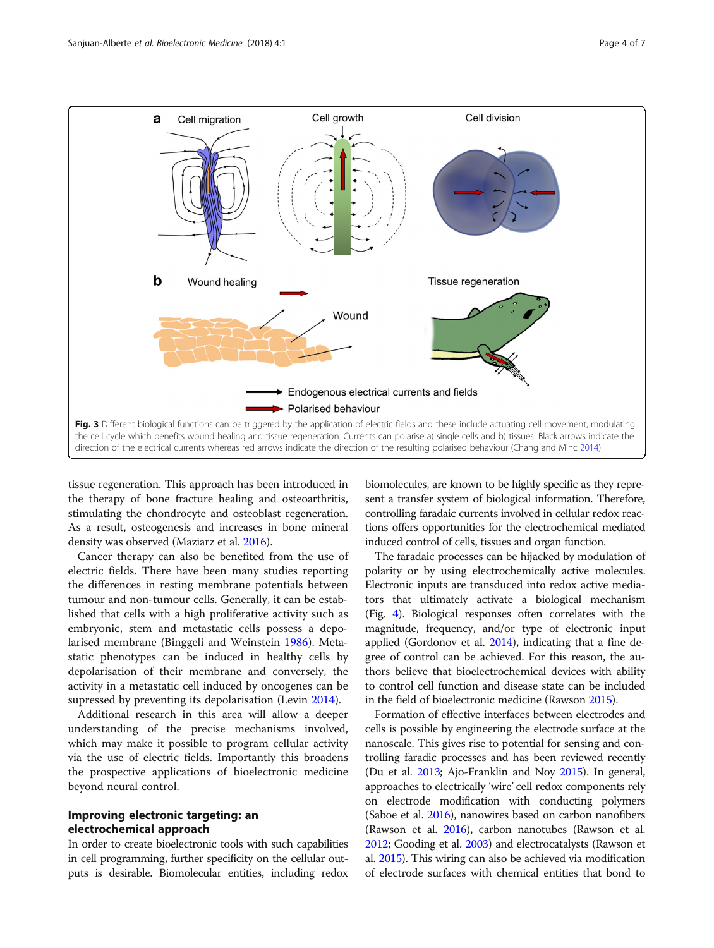<span id="page-3-0"></span>

tissue regeneration. This approach has been introduced in the therapy of bone fracture healing and osteoarthritis, stimulating the chondrocyte and osteoblast regeneration. As a result, osteogenesis and increases in bone mineral density was observed (Maziarz et al. [2016](#page-5-0)).

Cancer therapy can also be benefited from the use of electric fields. There have been many studies reporting the differences in resting membrane potentials between tumour and non-tumour cells. Generally, it can be established that cells with a high proliferative activity such as embryonic, stem and metastatic cells possess a depolarised membrane (Binggeli and Weinstein [1986](#page-5-0)). Metastatic phenotypes can be induced in healthy cells by depolarisation of their membrane and conversely, the activity in a metastatic cell induced by oncogenes can be supressed by preventing its depolarisation (Levin [2014](#page-5-0)).

Additional research in this area will allow a deeper understanding of the precise mechanisms involved, which may make it possible to program cellular activity via the use of electric fields. Importantly this broadens the prospective applications of bioelectronic medicine beyond neural control.

## Improving electronic targeting: an electrochemical approach

In order to create bioelectronic tools with such capabilities in cell programming, further specificity on the cellular outputs is desirable. Biomolecular entities, including redox biomolecules, are known to be highly specific as they represent a transfer system of biological information. Therefore, controlling faradaic currents involved in cellular redox reactions offers opportunities for the electrochemical mediated induced control of cells, tissues and organ function.

The faradaic processes can be hijacked by modulation of polarity or by using electrochemically active molecules. Electronic inputs are transduced into redox active mediators that ultimately activate a biological mechanism (Fig. [4](#page-4-0)). Biological responses often correlates with the magnitude, frequency, and/or type of electronic input applied (Gordonov et al. [2014\)](#page-5-0), indicating that a fine degree of control can be achieved. For this reason, the authors believe that bioelectrochemical devices with ability to control cell function and disease state can be included in the field of bioelectronic medicine (Rawson [2015\)](#page-5-0).

Formation of effective interfaces between electrodes and cells is possible by engineering the electrode surface at the nanoscale. This gives rise to potential for sensing and controlling faradic processes and has been reviewed recently (Du et al. [2013](#page-5-0); Ajo-Franklin and Noy [2015](#page-5-0)). In general, approaches to electrically 'wire' cell redox components rely on electrode modification with conducting polymers (Saboe et al. [2016\)](#page-5-0), nanowires based on carbon nanofibers (Rawson et al. [2016](#page-5-0)), carbon nanotubes (Rawson et al. [2012;](#page-5-0) Gooding et al. [2003\)](#page-5-0) and electrocatalysts (Rawson et al. [2015](#page-5-0)). This wiring can also be achieved via modification of electrode surfaces with chemical entities that bond to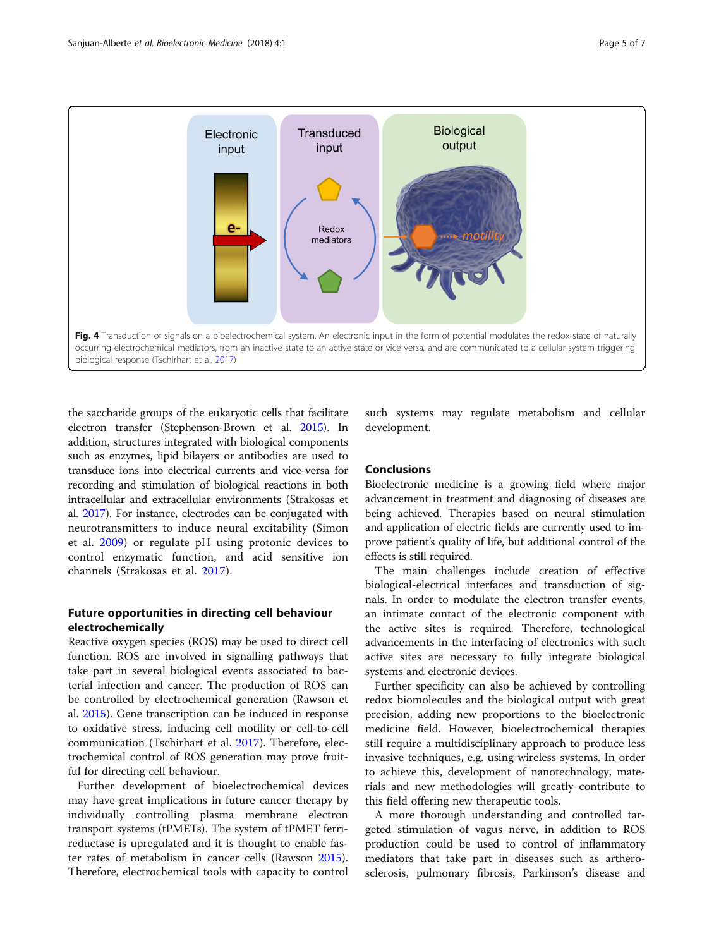<span id="page-4-0"></span>

the saccharide groups of the eukaryotic cells that facilitate electron transfer (Stephenson-Brown et al. [2015\)](#page-6-0). In addition, structures integrated with biological components such as enzymes, lipid bilayers or antibodies are used to transduce ions into electrical currents and vice-versa for recording and stimulation of biological reactions in both intracellular and extracellular environments (Strakosas et al. [2017](#page-6-0)). For instance, electrodes can be conjugated with neurotransmitters to induce neural excitability (Simon et al. [2009](#page-5-0)) or regulate pH using protonic devices to control enzymatic function, and acid sensitive ion channels (Strakosas et al. [2017](#page-6-0)).

## Future opportunities in directing cell behaviour electrochemically

Reactive oxygen species (ROS) may be used to direct cell function. ROS are involved in signalling pathways that take part in several biological events associated to bacterial infection and cancer. The production of ROS can be controlled by electrochemical generation (Rawson et al. [2015\)](#page-5-0). Gene transcription can be induced in response to oxidative stress, inducing cell motility or cell-to-cell communication (Tschirhart et al. [2017](#page-6-0)). Therefore, electrochemical control of ROS generation may prove fruitful for directing cell behaviour.

Further development of bioelectrochemical devices may have great implications in future cancer therapy by individually controlling plasma membrane electron transport systems (tPMETs). The system of tPMET ferrireductase is upregulated and it is thought to enable faster rates of metabolism in cancer cells (Rawson [2015](#page-5-0)). Therefore, electrochemical tools with capacity to control

such systems may regulate metabolism and cellular development.

## Conclusions

Bioelectronic medicine is a growing field where major advancement in treatment and diagnosing of diseases are being achieved. Therapies based on neural stimulation and application of electric fields are currently used to improve patient's quality of life, but additional control of the effects is still required.

The main challenges include creation of effective biological-electrical interfaces and transduction of signals. In order to modulate the electron transfer events, an intimate contact of the electronic component with the active sites is required. Therefore, technological advancements in the interfacing of electronics with such active sites are necessary to fully integrate biological systems and electronic devices.

Further specificity can also be achieved by controlling redox biomolecules and the biological output with great precision, adding new proportions to the bioelectronic medicine field. However, bioelectrochemical therapies still require a multidisciplinary approach to produce less invasive techniques, e.g. using wireless systems. In order to achieve this, development of nanotechnology, materials and new methodologies will greatly contribute to this field offering new therapeutic tools.

A more thorough understanding and controlled targeted stimulation of vagus nerve, in addition to ROS production could be used to control of inflammatory mediators that take part in diseases such as artherosclerosis, pulmonary fibrosis, Parkinson's disease and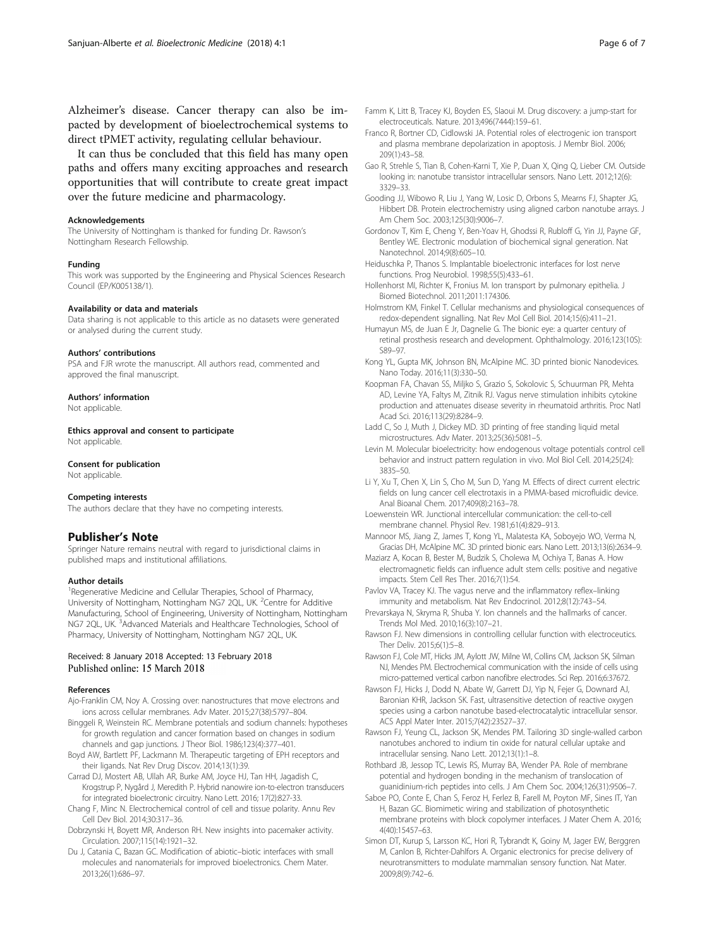<span id="page-5-0"></span>Alzheimer's disease. Cancer therapy can also be impacted by development of bioelectrochemical systems to direct tPMET activity, regulating cellular behaviour.

It can thus be concluded that this field has many open paths and offers many exciting approaches and research opportunities that will contribute to create great impact over the future medicine and pharmacology.

#### Acknowledgements

The University of Nottingham is thanked for funding Dr. Rawson's Nottingham Research Fellowship.

#### Funding

This work was supported by the Engineering and Physical Sciences Research Council (EP/K005138/1).

#### Availability or data and materials

Data sharing is not applicable to this article as no datasets were generated or analysed during the current study.

#### Authors' contributions

PSA and FJR wrote the manuscript. All authors read, commented and approved the final manuscript.

#### Authors' information

Not applicable.

Ethics approval and consent to participate Not applicable

### Consent for publication

Not applicable.

#### Competing interests

The authors declare that they have no competing interests.

## Publisher's Note

Springer Nature remains neutral with regard to jurisdictional claims in published maps and institutional affiliations.

#### Author details

<sup>1</sup> Regenerative Medicine and Cellular Therapies, School of Pharmacy, University of Nottingham, Nottingham NG7 2QL, UK. <sup>2</sup>Centre for Additive Manufacturing, School of Engineering, University of Nottingham, Nottingham NG7 2QL, UK.<sup>3</sup> Advanced Materials and Healthcare Technologies, School of Pharmacy, University of Nottingham, Nottingham NG7 2QL, UK.

#### Received: 8 January 2018 Accepted: 13 February 2018 Published online: 15 March 2018

#### References

- Ajo-Franklin CM, Noy A. Crossing over: nanostructures that move electrons and ions across cellular membranes. Adv Mater. 2015;27(38):5797–804.
- Binggeli R, Weinstein RC. Membrane potentials and sodium channels: hypotheses for growth regulation and cancer formation based on changes in sodium channels and gap junctions. J Theor Biol. 1986;123(4):377–401.
- Boyd AW, Bartlett PF, Lackmann M. Therapeutic targeting of EPH receptors and their ligands. Nat Rev Drug Discov. 2014;13(1):39.
- Carrad DJ, Mostert AB, Ullah AR, Burke AM, Joyce HJ, Tan HH, Jagadish C, Krogstrup P, Nygård J, Meredith P. Hybrid nanowire ion-to-electron transducers for integrated bioelectronic circuitry. Nano Lett. 2016; 17(2):827-33.
- Chang F, Minc N. Electrochemical control of cell and tissue polarity. Annu Rev Cell Dev Biol. 2014;30:317–36.
- Dobrzynski H, Boyett MR, Anderson RH. New insights into pacemaker activity. Circulation. 2007;115(14):1921–32.
- Du J, Catania C, Bazan GC. Modification of abiotic–biotic interfaces with small molecules and nanomaterials for improved bioelectronics. Chem Mater. 2013;26(1):686–97.
- Famm K, Litt B, Tracey KJ, Boyden ES, Slaoui M. Drug discovery: a jump-start for electroceuticals. Nature. 2013;496(7444):159–61.
- Franco R, Bortner CD, Cidlowski JA. Potential roles of electrogenic ion transport and plasma membrane depolarization in apoptosis. J Membr Biol. 2006; 209(1):43–58.
- Gao R, Strehle S, Tian B, Cohen-Karni T, Xie P, Duan X, Qing Q, Lieber CM. Outside looking in: nanotube transistor intracellular sensors. Nano Lett. 2012;12(6): 3329–33.
- Gooding JJ, Wibowo R, Liu J, Yang W, Losic D, Orbons S, Mearns FJ, Shapter JG, Hibbert DB. Protein electrochemistry using aligned carbon nanotube arrays. J Am Chem Soc. 2003;125(30):9006–7.
- Gordonov T, Kim E, Cheng Y, Ben-Yoav H, Ghodssi R, Rubloff G, Yin JJ, Payne GF, Bentley WE. Electronic modulation of biochemical signal generation. Nat Nanotechnol. 2014;9(8):605–10.
- Heiduschka P, Thanos S. Implantable bioelectronic interfaces for lost nerve functions. Prog Neurobiol. 1998;55(5):433–61.
- Hollenhorst MI, Richter K, Fronius M. Ion transport by pulmonary epithelia. J Biomed Biotechnol. 2011;2011:174306.
- Holmstrom KM, Finkel T. Cellular mechanisms and physiological consequences of redox-dependent signalling. Nat Rev Mol Cell Biol. 2014;15(6):411–21.
- Humayun MS, de Juan E Jr, Dagnelie G. The bionic eye: a quarter century of retinal prosthesis research and development. Ophthalmology. 2016;123(10S): S89–97.
- Kong YL, Gupta MK, Johnson BN, McAlpine MC. 3D printed bionic Nanodevices. Nano Today. 2016;11(3):330–50.
- Koopman FA, Chavan SS, Miljko S, Grazio S, Sokolovic S, Schuurman PR, Mehta AD, Levine YA, Faltys M, Zitnik RJ. Vagus nerve stimulation inhibits cytokine production and attenuates disease severity in rheumatoid arthritis. Proc Natl Acad Sci. 2016;113(29):8284–9.
- Ladd C, So J, Muth J, Dickey MD. 3D printing of free standing liquid metal microstructures. Adv Mater. 2013;25(36):5081–5.
- Levin M. Molecular bioelectricity: how endogenous voltage potentials control cell behavior and instruct pattern regulation in vivo. Mol Biol Cell. 2014;25(24): 3835–50.
- Li Y, Xu T, Chen X, Lin S, Cho M, Sun D, Yang M. Effects of direct current electric fields on lung cancer cell electrotaxis in a PMMA-based microfluidic device. Anal Bioanal Chem. 2017;409(8):2163–78.
- Loewenstein WR. Junctional intercellular communication: the cell-to-cell membrane channel. Physiol Rev. 1981;61(4):829–913.
- Mannoor MS, Jiang Z, James T, Kong YL, Malatesta KA, Soboyejo WO, Verma N, Gracias DH, McAlpine MC. 3D printed bionic ears. Nano Lett. 2013;13(6):2634–9.
- Maziarz A, Kocan B, Bester M, Budzik S, Cholewa M, Ochiya T, Banas A. How electromagnetic fields can influence adult stem cells: positive and negative impacts. Stem Cell Res Ther. 2016;7(1):54.

Pavlov VA, Tracey KJ. The vagus nerve and the inflammatory reflex–linking immunity and metabolism. Nat Rev Endocrinol. 2012;8(12):743–54.

- Prevarskaya N, Skryma R, Shuba Y. Ion channels and the hallmarks of cancer. Trends Mol Med. 2010;16(3):107–21.
- Rawson FJ. New dimensions in controlling cellular function with electroceutics. Ther Deliv. 2015;6(1):5–8.
- Rawson FJ, Cole MT, Hicks JM, Aylott JW, Milne WI, Collins CM, Jackson SK, Silman NJ, Mendes PM. Electrochemical communication with the inside of cells using micro-patterned vertical carbon nanofibre electrodes. Sci Rep. 2016;6:37672.
- Rawson FJ, Hicks J, Dodd N, Abate W, Garrett DJ, Yip N, Fejer G, Downard AJ, Baronian KHR, Jackson SK. Fast, ultrasensitive detection of reactive oxygen species using a carbon nanotube based-electrocatalytic intracellular sensor. ACS Appl Mater Inter. 2015;7(42):23527–37.
- Rawson FJ, Yeung CL, Jackson SK, Mendes PM. Tailoring 3D single-walled carbon nanotubes anchored to indium tin oxide for natural cellular uptake and intracellular sensing. Nano Lett. 2012;13(1):1–8.
- Rothbard JB, Jessop TC, Lewis RS, Murray BA, Wender PA. Role of membrane potential and hydrogen bonding in the mechanism of translocation of guanidinium-rich peptides into cells. J Am Chem Soc. 2004;126(31):9506–7.
- Saboe PO, Conte E, Chan S, Feroz H, Ferlez B, Farell M, Poyton MF, Sines IT, Yan H, Bazan GC. Biomimetic wiring and stabilization of photosynthetic membrane proteins with block copolymer interfaces. J Mater Chem A. 2016; 4(40):15457–63.
- Simon DT, Kurup S, Larsson KC, Hori R, Tybrandt K, Goiny M, Jager EW, Berggren M, Canlon B, Richter-Dahlfors A. Organic electronics for precise delivery of neurotransmitters to modulate mammalian sensory function. Nat Mater. 2009;8(9):742–6.